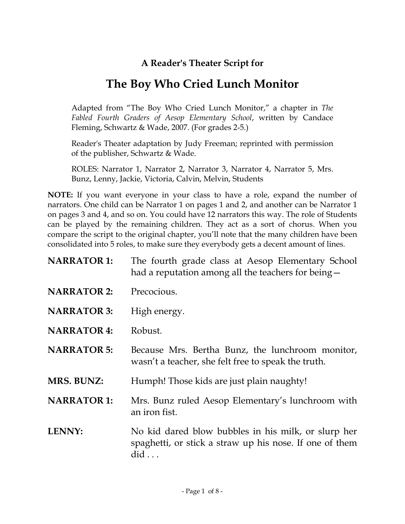### **A Reader's Theater Script for**

# **The Boy Who Cried Lunch Monitor**

Adapted from "The Boy Who Cried Lunch Monitor," a chapter in *The Fabled Fourth Graders of Aesop Elementary School*, written by Candace Fleming, Schwartz & Wade, 2007. (For grades 2-5.)

Reader's Theater adaptation by Judy Freeman; reprinted with permission of the publisher, Schwartz & Wade.

ROLES: Narrator 1, Narrator 2, Narrator 3, Narrator 4, Narrator 5, Mrs. Bunz, Lenny, Jackie, Victoria, Calvin, Melvin, Students

**NOTE:** If you want everyone in your class to have a role, expand the number of narrators. One child can be Narrator 1 on pages 1 and 2, and another can be Narrator 1 on pages 3 and 4, and so on. You could have 12 narrators this way. The role of Students can be played by the remaining children. They act as a sort of chorus. When you compare the script to the original chapter, you'll note that the many children have been consolidated into 5 roles, to make sure they everybody gets a decent amount of lines.

| <b>NARRATOR 1:</b> | The fourth grade class at Aesop Elementary School<br>had a reputation among all the teachers for being –                      |
|--------------------|-------------------------------------------------------------------------------------------------------------------------------|
| <b>NARRATOR 2:</b> | Precocious.                                                                                                                   |
| <b>NARRATOR 3:</b> | High energy.                                                                                                                  |
| <b>NARRATOR 4:</b> | Robust.                                                                                                                       |
| <b>NARRATOR 5:</b> | Because Mrs. Bertha Bunz, the lunchroom monitor,<br>wasn't a teacher, she felt free to speak the truth.                       |
| <b>MRS. BUNZ:</b>  | Humph! Those kids are just plain naughty!                                                                                     |
| <b>NARRATOR 1:</b> | Mrs. Bunz ruled Aesop Elementary's lunchroom with<br>an iron fist.                                                            |
| <b>LENNY:</b>      | No kid dared blow bubbles in his milk, or slurp her<br>spaghetti, or stick a straw up his nose. If one of them<br>$did \dots$ |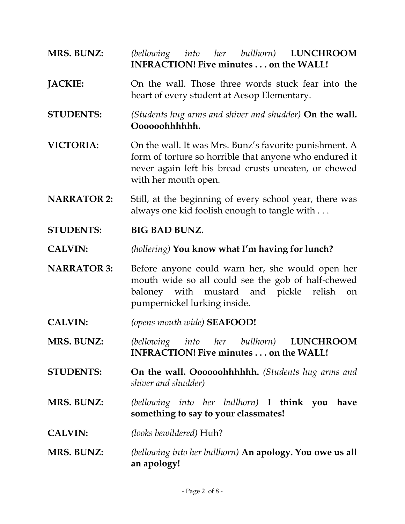### **MRS. BUNZ:** *(bellowing into her bullhorn)* **LUNCHROOM INFRACTION! Five minutes . . . on the WALL!**

- **JACKIE:** On the wall. Those three words stuck fear into the heart of every student at Aesop Elementary.
- **STUDENTS:** *(Students hug arms and shiver and shudder)* **On the wall. Oooooohhhhhh.**
- **VICTORIA:** On the wall. It was Mrs. Bunz's favorite punishment. A form of torture so horrible that anyone who endured it never again left his bread crusts uneaten, or chewed with her mouth open.
- **NARRATOR 2:** Still, at the beginning of every school year, there was always one kid foolish enough to tangle with . . .
- **STUDENTS: BIG BAD BUNZ.**
- **CALVIN:** *(hollering)* **You know what I'm having for lunch?**
- **NARRATOR 3:** Before anyone could warn her, she would open her mouth wide so all could see the gob of half-chewed baloney with mustard and pickle relish on pumpernickel lurking inside.
- **CALVIN:** *(opens mouth wide)* **SEAFOOD!**
- **MRS. BUNZ:** *(bellowing into her bullhorn)* **LUNCHROOM INFRACTION! Five minutes . . . on the WALL!**
- **STUDENTS: On the wall. Oooooohhhhhh.** *(Students hug arms and shiver and shudder)*
- **MRS. BUNZ:** *(bellowing into her bullhorn)* **I think you have something to say to your classmates!**
- **CALVIN:** *(looks bewildered)* Huh?
- **MRS. BUNZ:** *(bellowing into her bullhorn)* **An apology. You owe us all an apology!**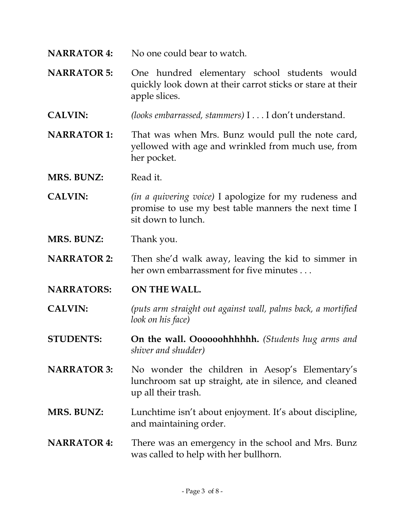- **NARRATOR 4:** No one could bear to watch.
- **NARRATOR 5:** One hundred elementary school students would quickly look down at their carrot sticks or stare at their apple slices.
- **CALVIN:** *(looks embarrassed, stammers)* I . . . I don't understand.
- **NARRATOR 1:** That was when Mrs. Bunz would pull the note card, yellowed with age and wrinkled from much use, from her pocket.
- **MRS. BUNZ:** Read it.
- **CALVIN:** *(in a quivering voice)* I apologize for my rudeness and promise to use my best table manners the next time I sit down to lunch.
- **MRS. BUNZ:** Thank you.
- **NARRATOR 2:** Then she'd walk away, leaving the kid to simmer in her own embarrassment for five minutes . . .
- **NARRATORS: ON THE WALL.**
- **CALVIN:** *(puts arm straight out against wall, palms back, a mortified look on his face)*
- **STUDENTS: On the wall. Oooooohhhhhh.** *(Students hug arms and shiver and shudder)*
- **NARRATOR 3:** No wonder the children in Aesop's Elementary's lunchroom sat up straight, ate in silence, and cleaned up all their trash.
- **MRS. BUNZ:** Lunchtime isn't about enjoyment. It's about discipline, and maintaining order.
- **NARRATOR 4:** There was an emergency in the school and Mrs. Bunz was called to help with her bullhorn.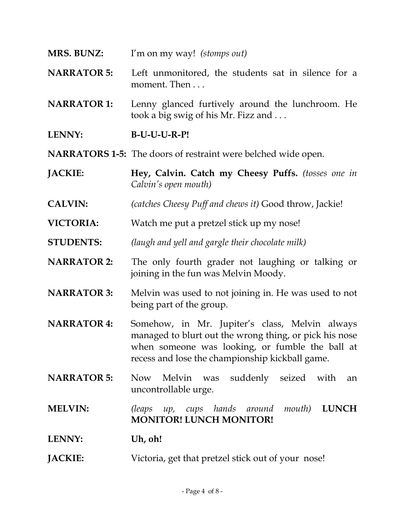- **MRS. BUNZ:** I'm on my way! *(stomps out)*
- **NARRATOR 5:** Left unmonitored, the students sat in silence for a moment. Then . . .
- **NARRATOR 1:** Lenny glanced furtively around the lunchroom. He took a big swig of his Mr. Fizz and . . .
- **LENNY: B-U-U-U-R-P!**
- **NARRATORS 1-5:** The doors of restraint were belched wide open.
- **JACKIE: Hey, Calvin. Catch my Cheesy Puffs.** *(tosses one in Calvin's open mouth)*
- **CALVIN:** *(catches Cheesy Puff and chews it)* Good throw, Jackie!
- **VICTORIA:** Watch me put a pretzel stick up my nose!
- **STUDENTS:** *(laugh and yell and gargle their chocolate milk)*
- **NARRATOR 2:** The only fourth grader not laughing or talking or joining in the fun was Melvin Moody.
- **NARRATOR 3:** Melvin was used to not joining in. He was used to not being part of the group.
- **NARRATOR 4:** Somehow, in Mr. Jupiter's class, Melvin always managed to blurt out the wrong thing, or pick his nose when someone was looking, or fumble the ball at recess and lose the championship kickball game.
- **NARRATOR 5:** Now Melvin was suddenly seized with an uncontrollable urge.
- **MELVIN:** *(leaps up, cups hands around mouth)* **LUNCH MONITOR! LUNCH MONITOR!**
- LENNY: Uh, oh!
- **JACKIE:** Victoria, get that pretzel stick out of your nose!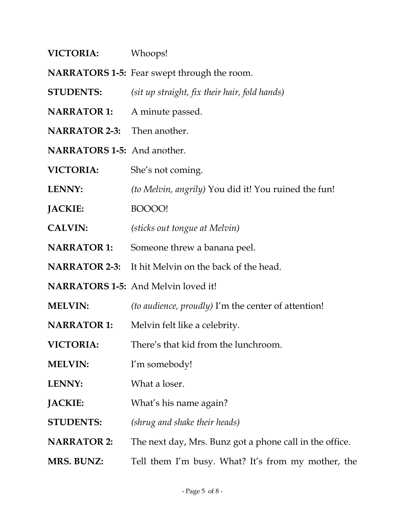| <b>VICTORIA:</b> | Whoops! |
|------------------|---------|
|------------------|---------|

- **NARRATORS 1-5:** Fear swept through the room.
- **STUDENTS:** *(sit up straight, fix their hair, fold hands)*
- **NARRATOR 1:** A minute passed.
- **NARRATOR 2-3:** Then another.
- **NARRATORS 1-5:** And another.
- **VICTORIA:** She's not coming.
- **LENNY:** *(to Melvin, angrily)* You did it! You ruined the fun!
- **JACKIE:** BOOOO!
- **CALVIN:** *(sticks out tongue at Melvin)*
- **NARRATOR 1:** Someone threw a banana peel.
- **NARRATOR 2-3:** It hit Melvin on the back of the head.
- **NARRATORS 1-5:** And Melvin loved it!
- **MELVIN:** *(to audience, proudly)* I'm the center of attention!
- **NARRATOR 1:** Melvin felt like a celebrity.
- **VICTORIA:** There's that kid from the lunchroom.
- **MELVIN:** I'm somebody!
- **LENNY:** What a loser.
- **JACKIE:** What's his name again?
- **STUDENTS:** *(shrug and shake their heads)*
- **NARRATOR 2:** The next day, Mrs. Bunz got a phone call in the office.
- **MRS. BUNZ:** Tell them I'm busy. What? It's from my mother, the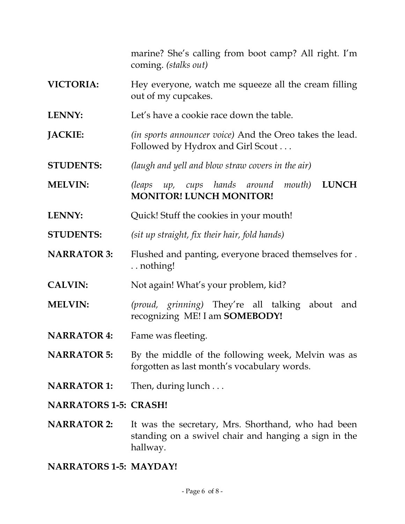marine? She's calling from boot camp? All right. I'm coming. *(stalks out)*

- **VICTORIA:** Hey everyone, watch me squeeze all the cream filling out of my cupcakes.
- **LENNY:** Let's have a cookie race down the table.
- **JACKIE:** *(in sports announcer voice)* And the Oreo takes the lead. Followed by Hydrox and Girl Scout . . .
- **STUDENTS:** *(laugh and yell and blow straw covers in the air)*
- **MELVIN:** *(leaps up, cups hands around mouth)* **LUNCH MONITOR! LUNCH MONITOR!**
- **LENNY:** Quick! Stuff the cookies in your mouth!
- **STUDENTS:** *(sit up straight, fix their hair, fold hands)*
- **NARRATOR 3:** Flushed and panting, everyone braced themselves for . . . nothing!
- **CALVIN:** Not again! What's your problem, kid?
- **MELVIN:** *(proud, grinning)* They're all talking about and recognizing ME! I am **SOMEBODY!**
- **NARRATOR 4:** Fame was fleeting.
- **NARRATOR 5:** By the middle of the following week, Melvin was as forgotten as last month's vocabulary words.
- **NARRATOR 1:** Then, during lunch . . .
- **NARRATORS 1-5: CRASH!**
- **NARRATOR 2:** It was the secretary, Mrs. Shorthand, who had been standing on a swivel chair and hanging a sign in the hallway.

#### **NARRATORS 1-5: MAYDAY!**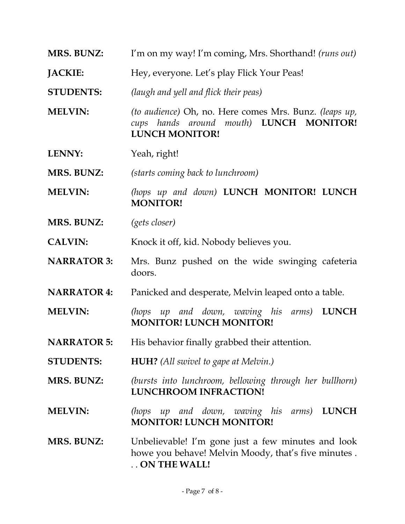- **MRS. BUNZ:** I'm on my way! I'm coming, Mrs. Shorthand! *(runs out)*
- **JACKIE:** Hey, everyone. Let's play Flick Your Peas!
- **STUDENTS:** *(laugh and yell and flick their peas)*
- **MELVIN:** *(to audience)* Oh, no. Here comes Mrs. Bunz. *(leaps up, cups hands around mouth)* **LUNCH MONITOR! LUNCH MONITOR!**
- **LENNY:** Yeah, right!
- **MRS. BUNZ:** *(starts coming back to lunchroom)*
- **MELVIN:** *(hops up and down)* **LUNCH MONITOR! LUNCH MONITOR!**
- **MRS. BUNZ:** *(gets closer)*
- **CALVIN:** Knock it off, kid. Nobody believes you.
- **NARRATOR 3:** Mrs. Bunz pushed on the wide swinging cafeteria doors.
- **NARRATOR 4:** Panicked and desperate, Melvin leaped onto a table.
- **MELVIN:** *(hops up and down, waving his arms)* **LUNCH MONITOR! LUNCH MONITOR!**
- **NARRATOR 5:** His behavior finally grabbed their attention.
- **STUDENTS: HUH?** *(All swivel to gape at Melvin.)*
- **MRS. BUNZ:** *(bursts into lunchroom, bellowing through her bullhorn)*  **LUNCHROOM INFRACTION!**
- **MELVIN:** *(hops up and down, waving his arms)* **LUNCH MONITOR! LUNCH MONITOR!**
- **MRS. BUNZ:** Unbelievable! I'm gone just a few minutes and look howe you behave! Melvin Moody, that's five minutes . . . **ON THE WALL!**